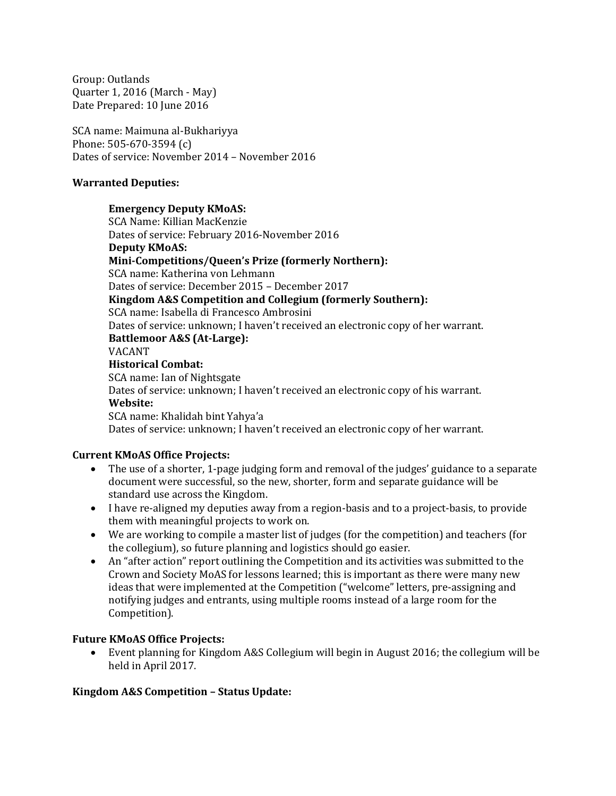Group: Outlands Quarter 1, 2016 (March - May) Date Prepared: 10 June 2016

SCA name: Maimuna al-Bukhariyya Phone: 505-670-3594 (c) Dates of service: November 2014 – November 2016

#### **Warranted Deputies:**

#### **Emergency Deputy KMoAS:**

SCA Name: Killian MacKenzie Dates of service: February 2016-November 2016 **Deputy KMoAS: Mini-Competitions/Queen's Prize (formerly Northern):** SCA name: Katherina von Lehmann Dates of service: December 2015 – December 2017 **Kingdom A&S Competition and Collegium (formerly Southern):** SCA name: Isabella di Francesco Ambrosini Dates of service: unknown; I haven't received an electronic copy of her warrant. **Battlemoor A&S (At-Large):** VACANT **Historical Combat:** SCA name: Ian of Nightsgate Dates of service: unknown; I haven't received an electronic copy of his warrant. **Website:** SCA name: Khalidah bint Yahya'a Dates of service: unknown; I haven't received an electronic copy of her warrant.

#### **Current KMoAS Office Projects:**

- The use of a shorter, 1-page judging form and removal of the judges' guidance to a separate document were successful, so the new, shorter, form and separate guidance will be standard use across the Kingdom.
- I have re-aligned my deputies away from a region-basis and to a project-basis, to provide them with meaningful projects to work on.
- We are working to compile a master list of judges (for the competition) and teachers (for the collegium), so future planning and logistics should go easier.
- An "after action" report outlining the Competition and its activities was submitted to the Crown and Society MoAS for lessons learned; this is important as there were many new ideas that were implemented at the Competition ("welcome" letters, pre-assigning and notifying judges and entrants, using multiple rooms instead of a large room for the Competition).

#### **Future KMoAS Office Projects:**

 Event planning for Kingdom A&S Collegium will begin in August 2016; the collegium will be held in April 2017.

#### **Kingdom A&S Competition – Status Update:**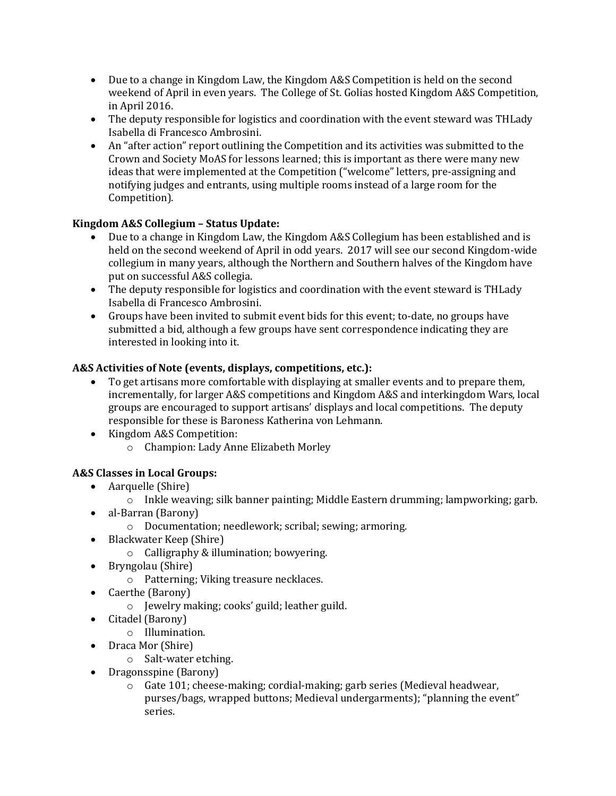- Due to a change in Kingdom Law, the Kingdom A&S Competition is held on the second weekend of April in even years. The College of St. Golias hosted Kingdom A&S Competition, in April 2016.
- The deputy responsible for logistics and coordination with the event steward was THLady Isabella di Francesco Ambrosini.
- An "after action" report outlining the Competition and its activities was submitted to the Crown and Society MoAS for lessons learned; this is important as there were many new ideas that were implemented at the Competition ("welcome" letters, pre-assigning and notifying judges and entrants, using multiple rooms instead of a large room for the Competition).

# **Kingdom A&S Collegium – Status Update:**

- Due to a change in Kingdom Law, the Kingdom A&S Collegium has been established and is held on the second weekend of April in odd years. 2017 will see our second Kingdom-wide collegium in many years, although the Northern and Southern halves of the Kingdom have put on successful A&S collegia.
- The deputy responsible for logistics and coordination with the event steward is THLady Isabella di Francesco Ambrosini.
- Groups have been invited to submit event bids for this event; to-date, no groups have submitted a bid, although a few groups have sent correspondence indicating they are interested in looking into it.

## **A&S Activities of Note (events, displays, competitions, etc.):**

- To get artisans more comfortable with displaying at smaller events and to prepare them, incrementally, for larger A&S competitions and Kingdom A&S and interkingdom Wars, local groups are encouraged to support artisans' displays and local competitions. The deputy responsible for these is Baroness Katherina von Lehmann.
- Kingdom A&S Competition:
	- o Champion: Lady Anne Elizabeth Morley

# **A&S Classes in Local Groups:**

- Aarquelle (Shire)
	- $\circ$  Inkle weaving; silk banner painting; Middle Eastern drumming; lampworking; garb.
- al-Barran (Barony)
	- o Documentation; needlework; scribal; sewing; armoring.
- Blackwater Keep (Shire)
	- o Calligraphy & illumination; bowyering.
- Bryngolau (Shire)
	- o Patterning; Viking treasure necklaces.
- Caerthe (Barony)
	- o Jewelry making; cooks' guild; leather guild.
- Citadel (Barony)
	- o Illumination.
- Draca Mor (Shire)
	- o Salt-water etching.
- Dragonsspine (Barony)
	- o Gate 101; cheese-making; cordial-making; garb series (Medieval headwear, purses/bags, wrapped buttons; Medieval undergarments); "planning the event" series.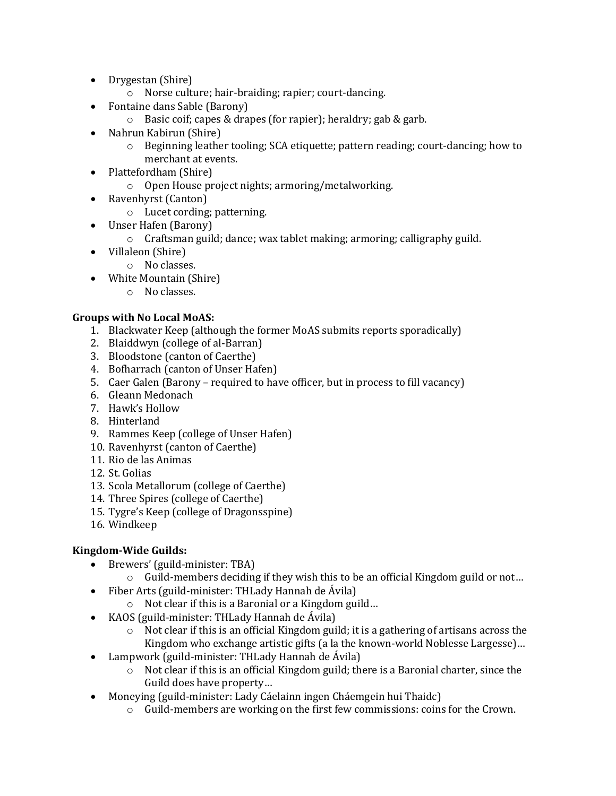- Drygestan (Shire)
	- o Norse culture; hair-braiding; rapier; court-dancing.
- Fontaine dans Sable (Barony)
	- o Basic coif; capes & drapes (for rapier); heraldry; gab & garb.
- Nahrun Kabirun (Shire)
	- $\circ$  Beginning leather tooling; SCA etiquette; pattern reading; court-dancing; how to merchant at events.
- Plattefordham (Shire)
	- o Open House project nights; armoring/metalworking.
- Ravenhyrst (Canton)
	- o Lucet cording; patterning.
- Unser Hafen (Barony)
	- o Craftsman guild; dance; wax tablet making; armoring; calligraphy guild.
- Villaleon (Shire)
	- o No classes.
- White Mountain (Shire)
	- o No classes.

# **Groups with No Local MoAS:**

- 1. Blackwater Keep (although the former MoAS submits reports sporadically)
- 2. Blaiddwyn (college of al-Barran)
- 3. Bloodstone (canton of Caerthe)
- 4. Bofharrach (canton of Unser Hafen)
- 5. Caer Galen (Barony required to have officer, but in process to fill vacancy)
- 6. Gleann Medonach
- 7. Hawk's Hollow
- 8. Hinterland
- 9. Rammes Keep (college of Unser Hafen)
- 10. Ravenhyrst (canton of Caerthe)
- 11. Rio de las Animas
- 12. St. Golias
- 13. Scola Metallorum (college of Caerthe)
- 14. Three Spires (college of Caerthe)
- 15. Tygre's Keep (college of Dragonsspine)
- 16. Windkeep

# **Kingdom-Wide Guilds:**

- Brewers' (guild-minister: TBA)
	- $\circ$  Guild-members deciding if they wish this to be an official Kingdom guild or not...
- Fiber Arts (guild-minister: THLady Hannah de Ávila)
	- o Not clear if this is a Baronial or a Kingdom guild…
- KAOS (guild-minister: THLady Hannah de Ávila)
	- o Not clear if this is an official Kingdom guild; it is a gathering of artisans across the Kingdom who exchange artistic gifts (a la the known-world Noblesse Largesse)…
- Lampwork (guild-minister: THLady Hannah de Ávila)
	- $\circ$  Not clear if this is an official Kingdom guild; there is a Baronial charter, since the Guild does have property…
- Moneying (guild-minister: Lady Cáelainn ingen Cháemgein hui Thaidc)
	- o Guild-members are working on the first few commissions: coins for the Crown.